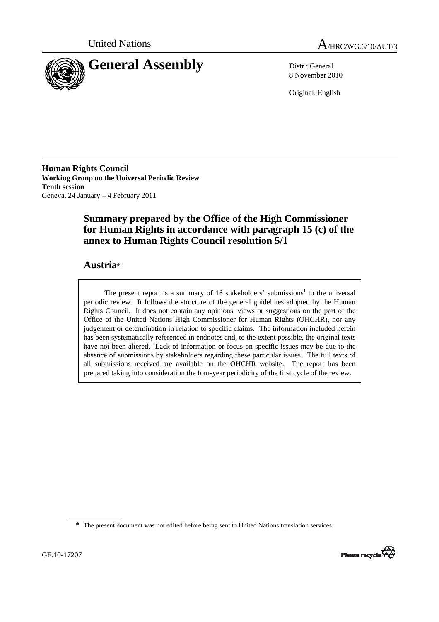



8 November 2010

Original: English

**Human Rights Council Working Group on the Universal Periodic Review Tenth session**  Geneva, 24 January – 4 February 2011

# **Summary prepared by the Office of the High Commissioner for Human Rights in accordance with paragraph 15 (c) of the annex to Human Rights Council resolution 5/1**

## **Austria**\*

The present report is a summary of 16 stakeholders' submissions<sup>1</sup> to the universal periodic review. It follows the structure of the general guidelines adopted by the Human Rights Council. It does not contain any opinions, views or suggestions on the part of the Office of the United Nations High Commissioner for Human Rights (OHCHR), nor any judgement or determination in relation to specific claims. The information included herein has been systematically referenced in endnotes and, to the extent possible, the original texts have not been altered. Lack of information or focus on specific issues may be due to the absence of submissions by stakeholders regarding these particular issues. The full texts of all submissions received are available on the OHCHR website. The report has been prepared taking into consideration the four-year periodicity of the first cycle of the review.

<sup>\*</sup> The present document was not edited before being sent to United Nations translation services.

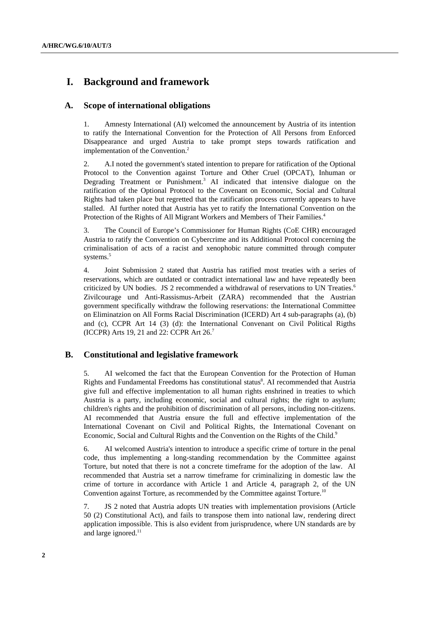# **I. Background and framework**

## **A. Scope of international obligations**

1. Amnesty International (AI) welcomed the announcement by Austria of its intention to ratify the International Convention for the Protection of All Persons from Enforced Disappearance and urged Austria to take prompt steps towards ratification and implementation of the Convention.<sup>2</sup>

2. A.I noted the government's stated intention to prepare for ratification of the Optional Protocol to the Convention against Torture and Other Cruel (OPCAT), Inhuman or Degrading Treatment or Punishment.<sup>3</sup> AI indicated that intensive dialogue on the ratification of the Optional Protocol to the Covenant on Economic, Social and Cultural Rights had taken place but regretted that the ratification process currently appears to have stalled. AI further noted that Austria has yet to ratify the International Convention on the Protection of the Rights of All Migrant Workers and Members of Their Families.<sup>4</sup>

3. The Council of Europe's Commissioner for Human Rights (CoE CHR) encouraged Austria to ratify the Convention on Cybercrime and its Additional Protocol concerning the criminalisation of acts of a racist and xenophobic nature committed through computer systems.<sup>5</sup>

4. Joint Submission 2 stated that Austria has ratified most treaties with a series of reservations, which are outdated or contradict international law and have repeatedly been criticized by UN bodies. JS 2 recommended a withdrawal of reservations to UN Treaties.<sup>6</sup> Zivilcourage und Anti-Rassismus-Arbeit (ZARA) recommended that the Austrian government specifically withdraw the following reservations: the International Committee on Eliminatzion on All Forms Racial Discrimination (ICERD) Art 4 sub-paragraphs (a), (b) and (c), CCPR Art 14 (3) (d): the International Convenant on Civil Political Rigths (ICCPR) Arts 19, 21 and 22: CCPR Art 26.7

## **B. Constitutional and legislative framework**

5. AI welcomed the fact that the European Convention for the Protection of Human Rights and Fundamental Freedoms has constitutional status<sup>8</sup>. AI recommended that Austria give full and effective implementation to all human rights enshrined in treaties to which Austria is a party, including economic, social and cultural rights; the right to asylum; children's rights and the prohibition of discrimination of all persons, including non-citizens. AI recommended that Austria ensure the full and effective implementation of the International Covenant on Civil and Political Rights, the International Covenant on Economic, Social and Cultural Rights and the Convention on the Rights of the Child.<sup>9</sup>

6. AI welcomed Austria's intention to introduce a specific crime of torture in the penal code, thus implementing a long-standing recommendation by the Committee against Torture, but noted that there is not a concrete timeframe for the adoption of the law. AI recommended that Austria set a narrow timeframe for criminalizing in domestic law the crime of torture in accordance with Article 1 and Article 4, paragraph 2, of the UN Convention against Torture, as recommended by the Committee against Torture.<sup>10</sup>

7. JS 2 noted that Austria adopts UN treaties with implementation provisions (Article 50 (2) Constitutional Act), and fails to transpose them into national law, rendering direct application impossible. This is also evident from jurisprudence, where UN standards are by and large ignored.<sup>11</sup>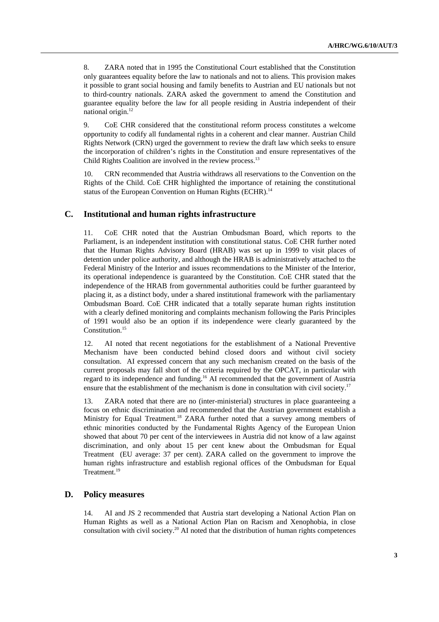8. ZARA noted that in 1995 the Constitutional Court established that the Constitution only guarantees equality before the law to nationals and not to aliens. This provision makes it possible to grant social housing and family benefits to Austrian and EU nationals but not to third-country nationals. ZARA asked the government to amend the Constitution and guarantee equality before the law for all people residing in Austria independent of their national origin.<sup>12</sup>

9. CoE CHR considered that the constitutional reform process constitutes a welcome opportunity to codify all fundamental rights in a coherent and clear manner. Austrian Child Rights Network (CRN) urged the government to review the draft law which seeks to ensure the incorporation of children's rights in the Constitution and ensure representatives of the Child Rights Coalition are involved in the review process.<sup>13</sup>

10. CRN recommended that Austria withdraws all reservations to the Convention on the Rights of the Child. CoE CHR highlighted the importance of retaining the constitutional status of the European Convention on Human Rights (ECHR).<sup>14</sup>

### **C. Institutional and human rights infrastructure**

11. CoE CHR noted that the Austrian Ombudsman Board, which reports to the Parliament, is an independent institution with constitutional status. CoE CHR further noted that the Human Rights Advisory Board (HRAB) was set up in 1999 to visit places of detention under police authority, and although the HRAB is administratively attached to the Federal Ministry of the Interior and issues recommendations to the Minister of the Interior, its operational independence is guaranteed by the Constitution. CoE CHR stated that the independence of the HRAB from governmental authorities could be further guaranteed by placing it, as a distinct body, under a shared institutional framework with the parliamentary Ombudsman Board. CoE CHR indicated that a totally separate human rights institution with a clearly defined monitoring and complaints mechanism following the Paris Principles of 1991 would also be an option if its independence were clearly guaranteed by the Constitution.<sup>15</sup>

12. AI noted that recent negotiations for the establishment of a National Preventive Mechanism have been conducted behind closed doors and without civil society consultation. AI expressed concern that any such mechanism created on the basis of the current proposals may fall short of the criteria required by the OPCAT, in particular with regard to its independence and funding.16 AI recommended that the government of Austria ensure that the establishment of the mechanism is done in consultation with civil society.<sup>17</sup>

13. ZARA noted that there are no (inter-ministerial) structures in place guaranteeing a focus on ethnic discrimination and recommended that the Austrian government establish a Ministry for Equal Treatment.<sup>18</sup> ZARA further noted that a survey among members of ethnic minorities conducted by the Fundamental Rights Agency of the European Union showed that about 70 per cent of the interviewees in Austria did not know of a law against discrimination, and only about 15 per cent knew about the Ombudsman for Equal Treatment (EU average: 37 per cent). ZARA called on the government to improve the human rights infrastructure and establish regional offices of the Ombudsman for Equal Treatment.<sup>19</sup>

#### **D. Policy measures**

14. AI and JS 2 recommended that Austria start developing a National Action Plan on Human Rights as well as a National Action Plan on Racism and Xenophobia, in close consultation with civil society.20 AI noted that the distribution of human rights competences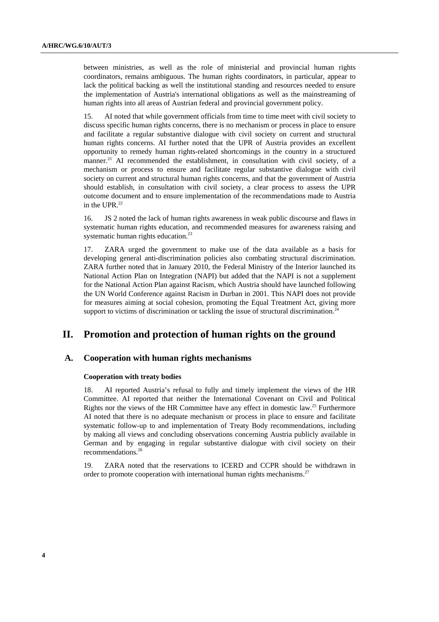between ministries, as well as the role of ministerial and provincial human rights coordinators, remains ambiguous. The human rights coordinators, in particular, appear to lack the political backing as well the institutional standing and resources needed to ensure the implementation of Austria's international obligations as well as the mainstreaming of human rights into all areas of Austrian federal and provincial government policy.

15. AI noted that while government officials from time to time meet with civil society to discuss specific human rights concerns, there is no mechanism or process in place to ensure and facilitate a regular substantive dialogue with civil society on current and structural human rights concerns. AI further noted that the UPR of Austria provides an excellent opportunity to remedy human rights-related shortcomings in the country in a structured manner.<sup>21</sup> AI recommended the establishment, in consultation with civil society, of a mechanism or process to ensure and facilitate regular substantive dialogue with civil society on current and structural human rights concerns, and that the government of Austria should establish, in consultation with civil society, a clear process to assess the UPR outcome document and to ensure implementation of the recommendations made to Austria in the UPR. $^{22}$ 

16. JS 2 noted the lack of human rights awareness in weak public discourse and flaws in systematic human rights education, and recommended measures for awareness raising and systematic human rights education.<sup>23</sup>

17. ZARA urged the government to make use of the data available as a basis for developing general anti-discrimination policies also combating structural discrimination. ZARA further noted that in January 2010, the Federal Ministry of the Interior launched its National Action Plan on Integration (NAPI) but added that the NAPI is not a supplement for the National Action Plan against Racism, which Austria should have launched following the UN World Conference against Racism in Durban in 2001. This NAPI does not provide for measures aiming at social cohesion, promoting the Equal Treatment Act, giving more support to victims of discrimination or tackling the issue of structural discrimination.<sup>2</sup>

## **II. Promotion and protection of human rights on the ground**

#### **A. Cooperation with human rights mechanisms**

#### **Cooperation with treaty bodies**

18. AI reported Austria's refusal to fully and timely implement the views of the HR Committee. AI reported that neither the International Covenant on Civil and Political Rights nor the views of the HR Committee have any effect in domestic law.25 Furthermore AI noted that there is no adequate mechanism or process in place to ensure and facilitate systematic follow-up to and implementation of Treaty Body recommendations, including by making all views and concluding observations concerning Austria publicly available in German and by engaging in regular substantive dialogue with civil society on their recommendations.26

19. ZARA noted that the reservations to ICERD and CCPR should be withdrawn in order to promote cooperation with international human rights mechanisms.<sup>27</sup>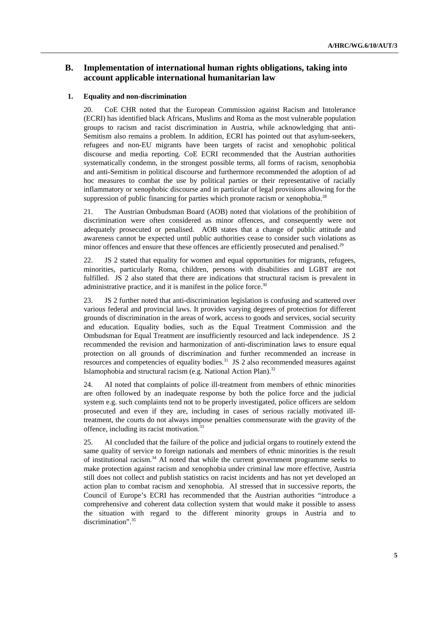## **B. Implementation of international human rights obligations, taking into account applicable international humanitarian law**

#### **1. Equality and non-discrimination**

20. CoE CHR noted that the European Commission against Racism and Intolerance (ECRI) has identified black Africans, Muslims and Roma as the most vulnerable population groups to racism and racist discrimination in Austria, while acknowledging that anti-Semitism also remains a problem. In addition, ECRI has pointed out that asylum-seekers, refugees and non-EU migrants have been targets of racist and xenophobic political discourse and media reporting. CoE ECRI recommended that the Austrian authorities systematically condemn, in the strongest possible terms, all forms of racism, xenophobia and anti-Semitism in political discourse and furthermore recommended the adoption of ad hoc measures to combat the use by political parties or their representative of racially inflammatory or xenophobic discourse and in particular of legal provisions allowing for the suppression of public financing for parties which promote racism or xenophobia.<sup>28</sup>

21. The Austrian Ombudsman Board (AOB) noted that violations of the prohibition of discrimination were often considered as minor offences, and consequently were not adequately prosecuted or penalised. AOB states that a change of public attitude and awareness cannot be expected until public authorities cease to consider such violations as minor offences and ensure that these offences are efficiently prosecuted and penalised.<sup>29</sup>

22. JS 2 stated that equality for women and equal opportunities for migrants, refugees, minorities, particularly Roma, children, persons with disabilities and LGBT are not fulfilled. JS 2 also stated that there are indications that structural racism is prevalent in administrative practice, and it is manifest in the police force.<sup>30</sup>

23. JS 2 further noted that anti-discrimination legislation is confusing and scattered over various federal and provincial laws. It provides varying degrees of protection for different grounds of discrimination in the areas of work, access to goods and services, social security and education. Equality bodies, such as the Equal Treatment Commission and the Ombudsman for Equal Treatment are insufficiently resourced and lack independence. JS 2 recommended the revision and harmonization of anti-discrimination laws to ensure equal protection on all grounds of discrimination and further recommended an increase in resources and competencies of equality bodies.<sup>31</sup> JS 2 also recommended measures against Islamophobia and structural racism (e.g. National Action Plan).<sup>32</sup>

24. AI noted that complaints of police ill-treatment from members of ethnic minorities are often followed by an inadequate response by both the police force and the judicial system e.g. such complaints tend not to be properly investigated, police officers are seldom prosecuted and even if they are, including in cases of serious racially motivated illtreatment, the courts do not always impose penalties commensurate with the gravity of the offence, including its racist motivation.<sup>33</sup>

25. AI concluded that the failure of the police and judicial organs to routinely extend the same quality of service to foreign nationals and members of ethnic minorities is the result of institutional racism.<sup>34</sup> AI noted that while the current government programme seeks to make protection against racism and xenophobia under criminal law more effective, Austria still does not collect and publish statistics on racist incidents and has not yet developed an action plan to combat racism and xenophobia. AI stressed that in successive reports, the Council of Europe's ECRI has recommended that the Austrian authorities "introduce a comprehensive and coherent data collection system that would make it possible to assess the situation with regard to the different minority groups in Austria and to discrimination".<sup>35</sup>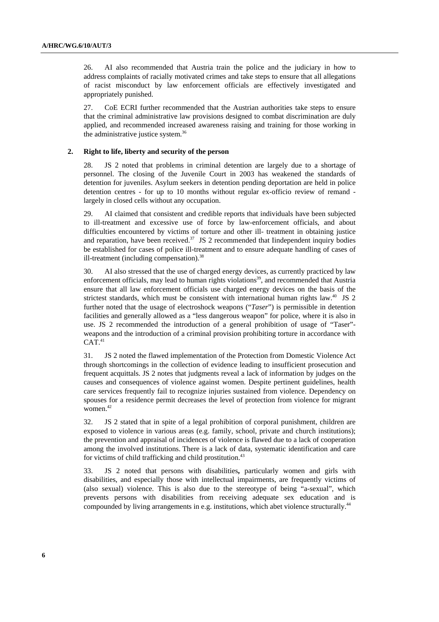26. AI also recommended that Austria train the police and the judiciary in how to address complaints of racially motivated crimes and take steps to ensure that all allegations of racist misconduct by law enforcement officials are effectively investigated and appropriately punished.

27. CoE ECRI further recommended that the Austrian authorities take steps to ensure that the criminal administrative law provisions designed to combat discrimination are duly applied, and recommended increased awareness raising and training for those working in the administrative justice system.<sup>36</sup>

#### **2. Right to life, liberty and security of the person**

28. JS 2 noted that problems in criminal detention are largely due to a shortage of personnel. The closing of the Juvenile Court in 2003 has weakened the standards of detention for juveniles. Asylum seekers in detention pending deportation are held in police detention centres - for up to 10 months without regular ex-officio review of remand largely in closed cells without any occupation.

29. AI claimed that consistent and credible reports that individuals have been subjected to ill-treatment and excessive use of force by law-enforcement officials, and about difficulties encountered by victims of torture and other ill- treatment in obtaining justice and reparation, have been received. $37$  JS 2 recommended that Iindependent inquiry bodies be established for cases of police ill-treatment and to ensure adequate handling of cases of ill-treatment (including compensation).<sup>38</sup>

30. AI also stressed that the use of charged energy devices, as currently practiced by law enforcement officials, may lead to human rights violations<sup>39</sup>, and recommended that Austria ensure that all law enforcement officials use charged energy devices on the basis of the strictest standards, which must be consistent with international human rights law. $40\;\text{JS}$  2 further noted that the usage of electroshock weapons ("*Taser*") is permissible in detention facilities and generally allowed as a "less dangerous weapon" for police, where it is also in use. JS 2 recommended the introduction of a general prohibition of usage of "Taser" weapons and the introduction of a criminal provision prohibiting torture in accordance with  $CAT.<sup>41</sup>$ 

31. JS 2 noted the flawed implementation of the Protection from Domestic Violence Act through shortcomings in the collection of evidence leading to insufficient prosecution and frequent acquittals. JS 2 notes that judgments reveal a lack of information by judges on the causes and consequences of violence against women. Despite pertinent guidelines, health care services frequently fail to recognize injuries sustained from violence. Dependency on spouses for a residence permit decreases the level of protection from violence for migrant women.<sup>42</sup>

32. JS 2 stated that in spite of a legal prohibition of corporal punishment, children are exposed to violence in various areas (e.g. family, school, private and church institutions); the prevention and appraisal of incidences of violence is flawed due to a lack of cooperation among the involved institutions. There is a lack of data, systematic identification and care for victims of child trafficking and child prostitution.<sup>43</sup>

33. JS 2 noted that persons with disabilities**,** particularly women and girls with disabilities, and especially those with intellectual impairments, are frequently victims of (also sexual) violence. This is also due to the stereotype of being "a-sexual", which prevents persons with disabilities from receiving adequate sex education and is compounded by living arrangements in e.g. institutions, which abet violence structurally.<sup>44</sup>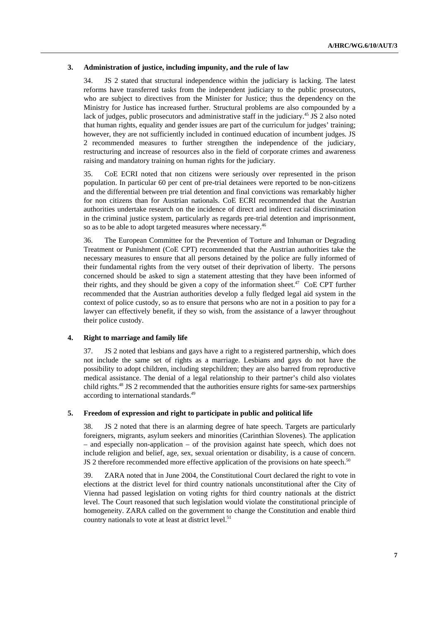#### **3. Administration of justice, including impunity, and the rule of law**

34. JS 2 stated that structural independence within the judiciary is lacking. The latest reforms have transferred tasks from the independent judiciary to the public prosecutors, who are subject to directives from the Minister for Justice; thus the dependency on the Ministry for Justice has increased further. Structural problems are also compounded by a lack of judges, public prosecutors and administrative staff in the judiciary.<sup>45</sup> JS 2 also noted that human rights, equality and gender issues are part of the curriculum for judges' training; however, they are not sufficiently included in continued education of incumbent judges. JS 2 recommended measures to further strengthen the independence of the judiciary, restructuring and increase of resources also in the field of corporate crimes and awareness raising and mandatory training on human rights for the judiciary.

35. CoE ECRI noted that non citizens were seriously over represented in the prison population. In particular 60 per cent of pre-trial detainees were reported to be non-citizens and the differential between pre trial detention and final convictions was remarkably higher for non citizens than for Austrian nationals. CoE ECRI recommended that the Austrian authorities undertake research on the incidence of direct and indirect racial discrimination in the criminal justice system, particularly as regards pre-trial detention and imprisonment, so as to be able to adopt targeted measures where necessary.<sup>46</sup>

36. The European Committee for the Prevention of Torture and Inhuman or Degrading Treatment or Punishment (CoE CPT) recommended that the Austrian authorities take the necessary measures to ensure that all persons detained by the police are fully informed of their fundamental rights from the very outset of their deprivation of liberty. The persons concerned should be asked to sign a statement attesting that they have been informed of their rights, and they should be given a copy of the information sheet.<sup>47</sup> CoE CPT further recommended that the Austrian authorities develop a fully fledged legal aid system in the context of police custody, so as to ensure that persons who are not in a position to pay for a lawyer can effectively benefit, if they so wish, from the assistance of a lawyer throughout their police custody.

#### **4. Right to marriage and family life**

37. JS 2 noted that lesbians and gays have a right to a registered partnership, which does not include the same set of rights as a marriage. Lesbians and gays do not have the possibility to adopt children, including stepchildren; they are also barred from reproductive medical assistance. The denial of a legal relationship to their partner's child also violates child rights.48 JS 2 recommended that the authorities ensure rights for same-sex partnerships according to international standards.49

#### **5. Freedom of expression and right to participate in public and political life**

38. JS 2 noted that there is an alarming degree of hate speech. Targets are particularly foreigners, migrants, asylum seekers and minorities (Carinthian Slovenes). The application – and especially non-application – of the provision against hate speech, which does not include religion and belief, age, sex, sexual orientation or disability, is a cause of concern. JS 2 therefore recommended more effective application of the provisions on hate speech.<sup>50</sup>

39. ZARA noted that in June 2004, the Constitutional Court declared the right to vote in elections at the district level for third country nationals unconstitutional after the City of Vienna had passed legislation on voting rights for third country nationals at the district level. The Court reasoned that such legislation would violate the constitutional principle of homogeneity. ZARA called on the government to change the Constitution and enable third country nationals to vote at least at district level.<sup>51</sup>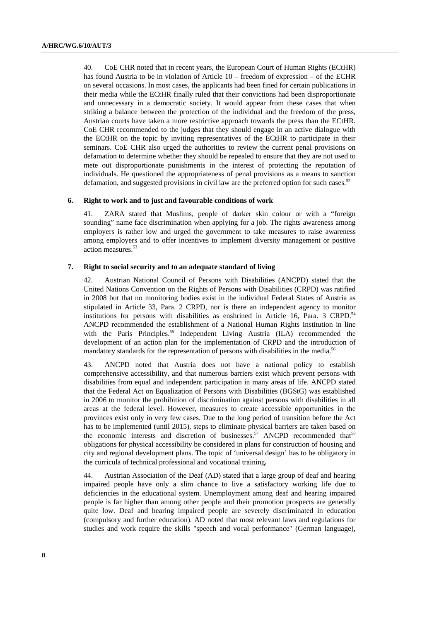40. CoE CHR noted that in recent years, the European Court of Human Rights (ECtHR) has found Austria to be in violation of Article 10 – freedom of expression – of the ECHR on several occasions. In most cases, the applicants had been fined for certain publications in their media while the ECtHR finally ruled that their convictions had been disproportionate and unnecessary in a democratic society. It would appear from these cases that when striking a balance between the protection of the individual and the freedom of the press, Austrian courts have taken a more restrictive approach towards the press than the ECtHR. CoE CHR recommended to the judges that they should engage in an active dialogue with the ECtHR on the topic by inviting representatives of the ECtHR to participate in their seminars. CoE CHR also urged the authorities to review the current penal provisions on defamation to determine whether they should be repealed to ensure that they are not used to mete out disproportionate punishments in the interest of protecting the reputation of individuals. He questioned the appropriateness of penal provisions as a means to sanction defamation, and suggested provisions in civil law are the preferred option for such cases.<sup>52</sup>

#### **6. Right to work and to just and favourable conditions of work**

41. ZARA stated that Muslims, people of darker skin colour or with a "foreign sounding" name face discrimination when applying for a job. The rights awareness among employers is rather low and urged the government to take measures to raise awareness among employers and to offer incentives to implement diversity management or positive action measures.<sup>53</sup>

#### **7. Right to social security and to an adequate standard of living**

42. Austrian National Council of Persons with Disabilities (ANCPD) stated that the United Nations Convention on the Rights of Persons with Disabilities (CRPD) was ratified in 2008 but that no monitoring bodies exist in the individual Federal States of Austria as stipulated in Article 33, Para. 2 CRPD, nor is there an independent agency to monitor institutions for persons with disabilities as enshrined in Article 16, Para. 3 CRPD.<sup>54</sup> ANCPD recommended the establishment of a National Human Rights Institution in line with the Paris Principles.<sup>55</sup> Independent Living Austria  $(II)$  recommended the development of an action plan for the implementation of CRPD and the introduction of mandatory standards for the representation of persons with disabilities in the media.<sup>56</sup>

43. ANCPD noted that Austria does not have a national policy to establish comprehensive accessibility, and that numerous barriers exist which prevent persons with disabilities from equal and independent participation in many areas of life. ANCPD stated that the Federal Act on Equalization of Persons with Disabilities (BGStG) was established in 2006 to monitor the prohibition of discrimination against persons with disabilities in all areas at the federal level. However, measures to create accessible opportunities in the provinces exist only in very few cases. Due to the long period of transition before the Act has to be implemented (until 2015), steps to eliminate physical barriers are taken based on the economic interests and discretion of businesses.<sup>57</sup> ANCPD recommended that<sup>58</sup> obligations for physical accessibility be considered in plans for construction of housing and city and regional development plans. The topic of 'universal design' has to be obligatory in the curricula of technical professional and vocational training**.** 

44. Austrian Association of the Deaf (AD) stated that a large group of deaf and hearing impaired people have only a slim chance to live a satisfactory working life due to deficiencies in the educational system. Unemployment among deaf and hearing impaired people is far higher than among other people and their promotion prospects are generally quite low. Deaf and hearing impaired people are severely discriminated in education (compulsory and further education). AD noted that most relevant laws and regulations for studies and work require the skills "speech and vocal performance" (German language),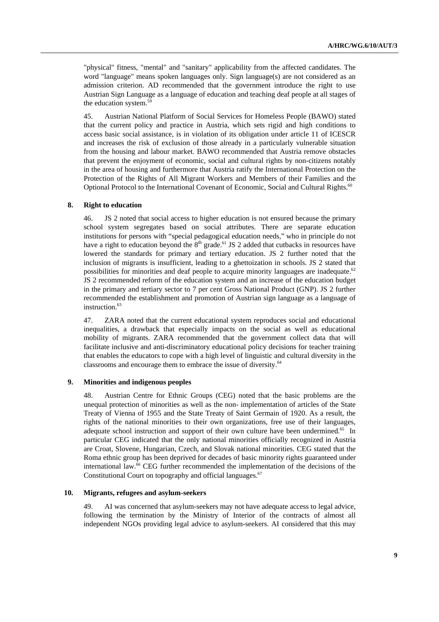"physical" fitness, "mental" and "sanitary" applicability from the affected candidates. The word "language" means spoken languages only. Sign language(s) are not considered as an admission criterion. AD recommended that the government introduce the right to use Austrian Sign Language as a language of education and teaching deaf people at all stages of the education system.<sup>59</sup>

45. Austrian National Platform of Social Services for Homeless People (BAWO) stated that the current policy and practice in Austria, which sets rigid and high conditions to access basic social assistance, is in violation of its obligation under article 11 of ICESCR and increases the risk of exclusion of those already in a particularly vulnerable situation from the housing and labour market. BAWO recommended that Austria remove obstacles that prevent the enjoyment of economic, social and cultural rights by non-citizens notably in the area of housing and furthermore that Austria ratify the International Protection on the Protection of the Rights of All Migrant Workers and Members of their Families and the Optional Protocol to the International Covenant of Economic, Social and Cultural Rights.<sup>60</sup>

#### **8. Right to education**

46. JS 2 noted that social access to higher education is not ensured because the primary school system segregates based on social attributes. There are separate education institutions for persons with "special pedagogical education needs," who in principle do not have a right to education beyond the  $8<sup>th</sup>$  grade.<sup>61</sup> JS 2 added that cutbacks in resources have lowered the standards for primary and tertiary education. JS 2 further noted that the inclusion of migrants is insufficient, leading to a ghettoization in schools. JS 2 stated that possibilities for minorities and deaf people to acquire minority languages are inadequate.<sup>62</sup> JS 2 recommended reform of the education system and an increase of the education budget in the primary and tertiary sector to 7 per cent Gross National Product (GNP). JS 2 further recommended the establishment and promotion of Austrian sign language as a language of instruction.<sup>63</sup>

47. ZARA noted that the current educational system reproduces social and educational inequalities, a drawback that especially impacts on the social as well as educational mobility of migrants. ZARA recommended that the government collect data that will facilitate inclusive and anti-discriminatory educational policy decisions for teacher training that enables the educators to cope with a high level of linguistic and cultural diversity in the classrooms and encourage them to embrace the issue of diversity.<sup>64</sup>

#### **9. Minorities and indigenous peoples**

48. Austrian Centre for Ethnic Groups (CEG) noted that the basic problems are the unequal protection of minorities as well as the non- implementation of articles of the State Treaty of Vienna of 1955 and the State Treaty of Saint Germain of 1920. As a result, the rights of the national minorities to their own organizations, free use of their languages, adequate school instruction and support of their own culture have been undermined.<sup>65</sup> In particular CEG indicated that the only national minorities officially recognized in Austria are Croat, Slovene, Hungarian, Czech, and Slovak national minorities. CEG stated that the Roma ethnic group has been deprived for decades of basic minority rights guaranteed under international law.66 CEG further recommended the implementation of the decisions of the Constitutional Court on topography and official languages.<sup>67</sup>

#### **10. Migrants, refugees and asylum-seekers**

49. AI was concerned that asylum-seekers may not have adequate access to legal advice, following the termination by the Ministry of Interior of the contracts of almost all independent NGOs providing legal advice to asylum-seekers. AI considered that this may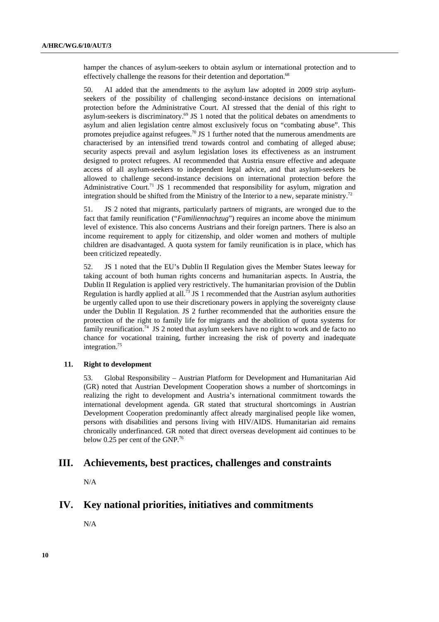hamper the chances of asylum-seekers to obtain asylum or international protection and to effectively challenge the reasons for their detention and deportation.<sup>68</sup>

50. AI added that the amendments to the asylum law adopted in 2009 strip asylumseekers of the possibility of challenging second-instance decisions on international protection before the Administrative Court. AI stressed that the denial of this right to asylum-seekers is discriminatory.<sup>69</sup> JS 1 noted that the political debates on amendments to asylum and alien legislation centre almost exclusively focus on "combating abuse". This promotes prejudice against refugees.<sup>70</sup> JS 1 further noted that the numerous amendments are characterised by an intensified trend towards control and combating of alleged abuse; security aspects prevail and asylum legislation loses its effectiveness as an instrument designed to protect refugees. AI recommended that Austria ensure effective and adequate access of all asylum-seekers to independent legal advice, and that asylum-seekers be allowed to challenge second-instance decisions on international protection before the Administrative Court.<sup>71</sup> JS 1 recommended that responsibility for asylum, migration and integration should be shifted from the Ministry of the Interior to a new, separate ministry.72

51. JS 2 noted that migrants, particularly partners of migrants, are wronged due to the fact that family reunification ("*Familiennachzug*") requires an income above the minimum level of existence. This also concerns Austrians and their foreign partners. There is also an income requirement to apply for citizenship, and older women and mothers of multiple children are disadvantaged. A quota system for family reunification is in place, which has been criticized repeatedly.

52. JS 1 noted that the EU's Dublin II Regulation gives the Member States leeway for taking account of both human rights concerns and humanitarian aspects. In Austria, the Dublin II Regulation is applied very restrictively. The humanitarian provision of the Dublin Regulation is hardly applied at all.<sup>73</sup> JS 1 recommended that the Austrian asylum authorities be urgently called upon to use their discretionary powers in applying the sovereignty clause under the Dublin II Regulation. JS 2 further recommended that the authorities ensure the protection of the right to family life for migrants and the abolition of quota systems for family reunification.74JS 2 noted that asylum seekers have no right to work and de facto no chance for vocational training, further increasing the risk of poverty and inadequate integration.<sup>75</sup>

#### **11. Right to development**

53. Global Responsibility – Austrian Platform for Development and Humanitarian Aid (GR) noted that Austrian Development Cooperation shows a number of shortcomings in realizing the right to development and Austria's international commitment towards the international development agenda. GR stated that structural shortcomings in Austrian Development Cooperation predominantly affect already marginalised people like women, persons with disabilities and persons living with HIV/AIDS. Humanitarian aid remains chronically underfinanced. GR noted that direct overseas development aid continues to be below 0.25 per cent of the GNP.<sup>76</sup>

## **III. Achievements, best practices, challenges and constraints**

N/A

## **IV. Key national priorities, initiatives and commitments**

N/A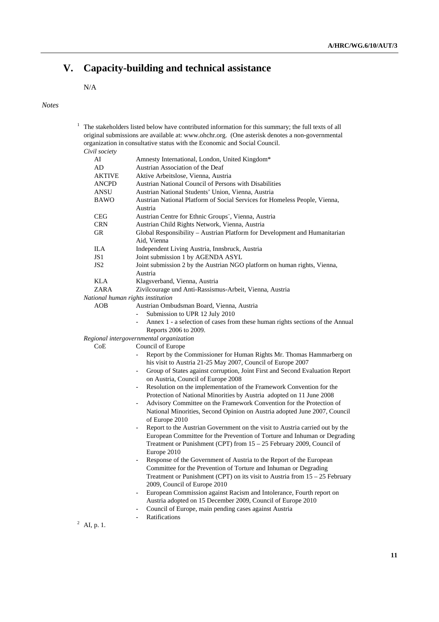# **V. Capacity-building and technical assistance**

# N/A

## *Notes*

|                 | original submissions are available at: www.ohchr.org. (One asterisk denotes a non-governmental<br>organization in consultative status with the Economic and Social Council. |
|-----------------|-----------------------------------------------------------------------------------------------------------------------------------------------------------------------------|
| Civil society   |                                                                                                                                                                             |
| AI              | Amnesty International, London, United Kingdom*                                                                                                                              |
| AD              | Austrian Association of the Deaf                                                                                                                                            |
| <b>AKTIVE</b>   | Aktive Arbeitslose, Vienna, Austria                                                                                                                                         |
| ANCPD           | Austrian National Council of Persons with Disabilities                                                                                                                      |
| <b>ANSU</b>     | Austrian National Students' Union, Vienna, Austria                                                                                                                          |
| <b>BAWO</b>     | Austrian National Platform of Social Services for Homeless People, Vienna,                                                                                                  |
|                 | Austria                                                                                                                                                                     |
| <b>CEG</b>      | Austrian Centre for Ethnic Groups", Vienna, Austria                                                                                                                         |
| <b>CRN</b>      | Austrian Child Rights Network, Vienna, Austria                                                                                                                              |
| <b>GR</b>       | Global Responsibility - Austrian Platform for Development and Humanitarian                                                                                                  |
|                 | Aid, Vienna                                                                                                                                                                 |
| ILA             | Independent Living Austria, Innsbruck, Austria                                                                                                                              |
| JS <sub>1</sub> | Joint submission 1 by AGENDA ASYL                                                                                                                                           |
| JS <sub>2</sub> | Joint submission 2 by the Austrian NGO platform on human rights, Vienna,                                                                                                    |
|                 | Austria                                                                                                                                                                     |
| KLA             | Klagsverband, Vienna, Austria                                                                                                                                               |
| ZARA            | Zivilcourage und Anti-Rassismus-Arbeit, Vienna, Austria                                                                                                                     |
|                 | National human rights institution                                                                                                                                           |
| AOB             | Austrian Ombudsman Board, Vienna, Austria                                                                                                                                   |
|                 | Submission to UPR 12 July 2010                                                                                                                                              |
|                 | Annex 1 - a selection of cases from these human rights sections of the Annual                                                                                               |
|                 | Reports 2006 to 2009.                                                                                                                                                       |
|                 | Regional intergovernmental organization                                                                                                                                     |
| CoE             | Council of Europe                                                                                                                                                           |
|                 | Report by the Commissioner for Human Rights Mr. Thomas Hammarberg on                                                                                                        |
|                 | his visit to Austria 21-25 May 2007, Council of Europe 2007                                                                                                                 |
|                 | Group of States against corruption, Joint First and Second Evaluation Report                                                                                                |
|                 | on Austria, Council of Europe 2008                                                                                                                                          |
|                 | Resolution on the implementation of the Framework Convention for the<br>$\overline{\phantom{a}}$                                                                            |
|                 | Protection of National Minorities by Austria adopted on 11 June 2008                                                                                                        |
|                 | Advisory Committee on the Framework Convention for the Protection of                                                                                                        |
|                 | National Minorities, Second Opinion on Austria adopted June 2007, Council                                                                                                   |
|                 | of Europe 2010                                                                                                                                                              |
|                 | Report to the Austrian Government on the visit to Austria carried out by the                                                                                                |
|                 | European Committee for the Prevention of Torture and Inhuman or Degrading                                                                                                   |
|                 | Treatment or Punishment (CPT) from 15 - 25 February 2009, Council of                                                                                                        |
|                 |                                                                                                                                                                             |
|                 | Europe 2010                                                                                                                                                                 |
|                 | Response of the Government of Austria to the Report of the European                                                                                                         |
|                 | Committee for the Prevention of Torture and Inhuman or Degrading                                                                                                            |
|                 | Treatment or Punishment (CPT) on its visit to Austria from $15 - 25$ February                                                                                               |
|                 | 2009, Council of Europe 2010                                                                                                                                                |
|                 | European Commission against Racism and Intolerance, Fourth report on<br>$\overline{\phantom{0}}$                                                                            |
|                 | Austria adopted on 15 December 2009, Council of Europe 2010                                                                                                                 |
|                 | Council of Europe, main pending cases against Austria<br>$\overline{\phantom{0}}$                                                                                           |
|                 | Ratifications                                                                                                                                                               |
| AI, p. 1.       |                                                                                                                                                                             |

**11**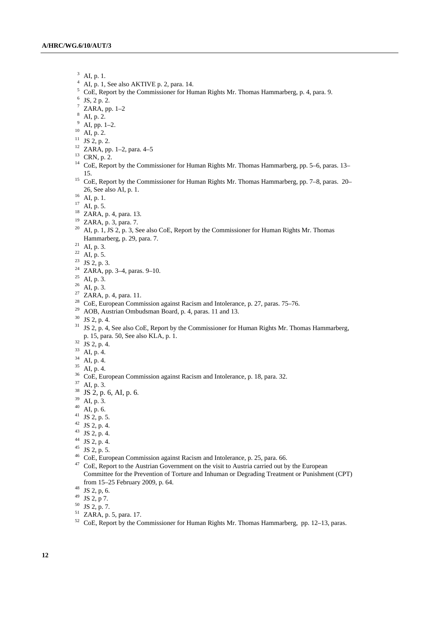- $3$  AI, p. 1.
- $4$  AI, p. 1, See also AKTIVE p. 2, para. 14.
- <sup>5</sup> CoE, Report by the Commissioner for Human Rights Mr. Thomas Hammarberg, p. 4, para. 9. <sup>6</sup> IS 2 a. 2.
- $6$  JS, 2 p. 2.
- $7$  ZARA, pp. 1-2
- 8 AI, p. 2.
- $9$  AI, pp. 1–2.
- $^{10}$  AI, p. 2.
- <sup>11</sup> JS 2, p. 2.
- 
- 12 ZARA, pp. 1–2, para. 4–5
- $13$  CRN, p. 2.
- <sup>14</sup> CoE, Report by the Commissioner for Human Rights Mr. Thomas Hammarberg, pp. 5–6, paras. 13–
- 15. 15 CoE, Report by the Commissioner for Human Rights Mr. Thomas Hammarberg, pp. 7–8, paras. 20– 26, See also AI, p. 1.<br><sup>16</sup> AI, p. 1.
- 
- $17$  AI, p. 5.
- 18 ZARA, p. 4, para. 13.
- 19 ZARA, p. 3, para. 7.
- <sup>20</sup> AI, p. 1, JS 2, p. 3, See also CoE, Report by the Commissioner for Human Rights Mr. Thomas Hammarberg, p. 29, para. 7.<br><sup>21</sup> AI, p. 3.
- 
- $22$  AI, p. 5.
- 23 JS 2, p. 3.
- 24 ZARA, pp. 3–4, paras. 9–10.
- $25$  AI, p. 3.
- $26$  AI, p. 3.
- $27$  ZARA, p. 4, para. 11.
- <sup>28</sup> CoE, European Commission against Racism and Intolerance, p. 27, paras. 75–76.<br><sup>29</sup> AOB, Austrian Ombudsman Board, p. 4, paras. 11 and 13.
- 
- 30 JS 2, p. 4.
- <sup>31</sup> JS 2, p. 4, See also CoE, Report by the Commissioner for Human Rights Mr. Thomas Hammarberg, p. 15, para. 50, See also KLA, p. 1. 32 JS 2, p. 4.
- 
- $33$  AI, p. 4.
- $34$  AI, p. 4.
- $35$  AI, p. 4.
- <sup>36</sup> CoE, European Commission against Racism and Intolerance, p. 18, para. 32. AI, p. 3.
- 
- $^{38}$  JS 2, p. 6, AI, p. 6.<br><sup>39</sup> AI, p. 3.
- 
- $40$  AI, p. 6.
- $41$  JS 2, p. 5.
- $42$  JS 2, p. 4.
- $43$  JS 2, p. 4.
- $44$  JS 2, p. 4.
- 
- 
- <sup>45</sup> JS 2, p. 5.<br><sup>46</sup> CoE, European Commission against Racism and Intolerance, p. 25, para. 66.
- <sup>47</sup> CoE, Report to the Austrian Government on the visit to Austria carried out by the European Committee for the Prevention of Torture and Inhuman or Degrading Treatment or Punishment (CPT) from 15–25 February 2009, p. 64. 48 JS 2, p, 6.
- 
- $49$  JS 2, p 7.
- $50$  JS 2, p. 7.
- 51 ZARA, p. 5, para. 17.
- <sup>52</sup> CoE, Report by the Commissioner for Human Rights Mr. Thomas Hammarberg, pp. 12–13, paras.